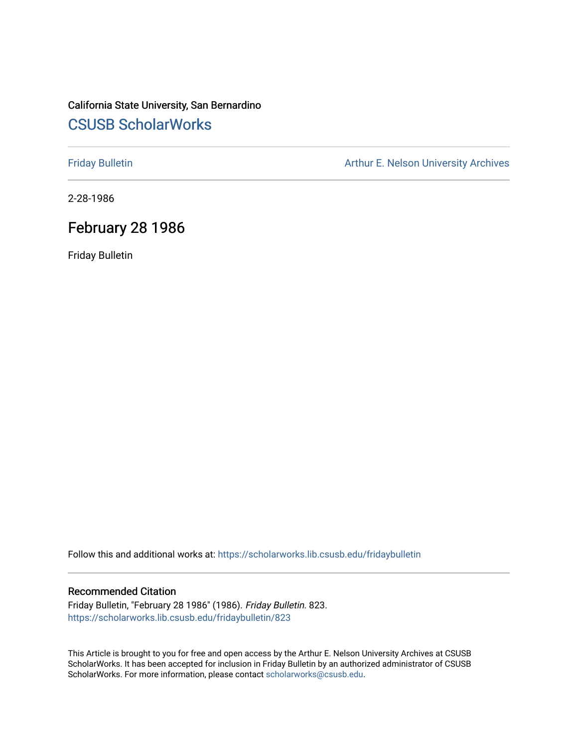### California State University, San Bernardino [CSUSB ScholarWorks](https://scholarworks.lib.csusb.edu/)

[Friday Bulletin](https://scholarworks.lib.csusb.edu/fridaybulletin) **Arthur E. Nelson University Archives** Arthur E. Nelson University Archives

2-28-1986

### February 28 1986

Friday Bulletin

Follow this and additional works at: [https://scholarworks.lib.csusb.edu/fridaybulletin](https://scholarworks.lib.csusb.edu/fridaybulletin?utm_source=scholarworks.lib.csusb.edu%2Ffridaybulletin%2F823&utm_medium=PDF&utm_campaign=PDFCoverPages)

### Recommended Citation

Friday Bulletin, "February 28 1986" (1986). Friday Bulletin. 823. [https://scholarworks.lib.csusb.edu/fridaybulletin/823](https://scholarworks.lib.csusb.edu/fridaybulletin/823?utm_source=scholarworks.lib.csusb.edu%2Ffridaybulletin%2F823&utm_medium=PDF&utm_campaign=PDFCoverPages)

This Article is brought to you for free and open access by the Arthur E. Nelson University Archives at CSUSB ScholarWorks. It has been accepted for inclusion in Friday Bulletin by an authorized administrator of CSUSB ScholarWorks. For more information, please contact [scholarworks@csusb.edu.](mailto:scholarworks@csusb.edu)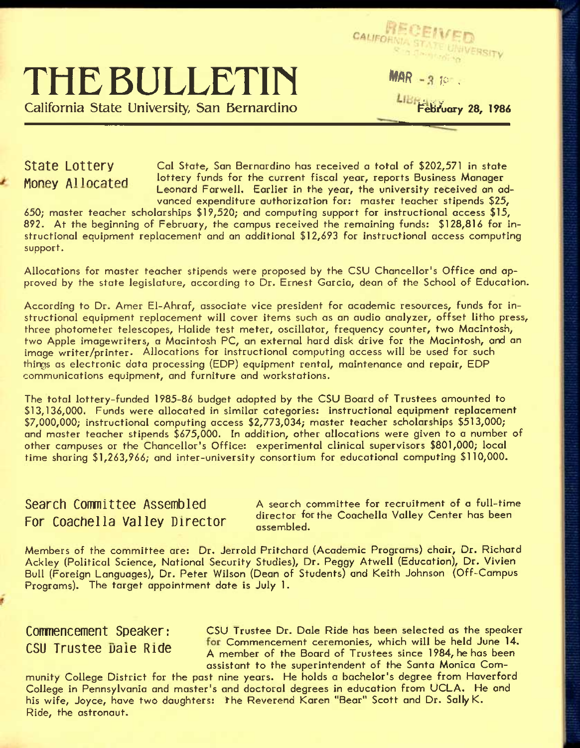# **THE BULLETIN**

California State University, San Bernardino

 $MAR - 310$ 

CALIFORNIA STA

LIBreakfuary 28, 1986

**St3te L0tt6ry** Cal state. Son Bernardino has received a total of **\$202,571** in state Money Allocated lottery funds for the current fiscal year, reports Business Manager Leonard Farwell. Earlier in the year, the university received an advanced expenditure authorization for: master teacher stipends **\$25,** 

**650;** master teacher scholarships **\$19,520;** and computing support for instructional access **\$15, 892.** At the beginning of February, the campus received the remaining funds: **\$128,816** for instructional equipment replacement and an additional **\$12,693** for instructional access computing support.

Allocations for master teacher stipends were proposed by the CSU Chancellor's Office and approved by the state legislature, according to Dr. Ernest Garcia, dean of the School of Education.

According to Dr. Amer El-Ahraf, associate vice president for academic resources, funds for instructional equipment replacement will cover items such as an audio analyzer, offset litho press, three photometer telescopes, Halide test meter, oscillator, frequency counter, two Macintosh, two Apple imagewriters, a Macintosh PC, an external hard disk drive for the Macintosh, and an image writer/printer. Allocations for instructional computing access will be used for such things as electronic data processing (EDP) equipment rental, maintenance and repair, EDP communications equipment, and furniture and workstations.

The total lottery-funded **1985-86** budget adopted by the CSU Board of Trustees amounted to **\$13,136,000.** Funds were allocated in similar categories: instructional equipment replacement **\$7,000,000;** instructional computing access **\$2,773,034;** master teacher scholarships **\$513,000;**  and master teacher stipends **\$675,000.** In addition, other allocations were given to a number of other campuses or the Chancellor's Office: experimental clinical supervisors **\$801,000;** local time sharing **\$1,263,966;** and inter-university consortium for educational computing **\$110,000.** 

## For Coachella Valley Director affector to

**Search Committee Assembled** A search committee for recruitment of a full-time director forthe Coachella Valley Center has been

Members of the committee are: Dr. Jerrold Pritchard {Academic Programs) chair. Dr. Richard Ackley (Political Science, Notional Security Studies), Dr. Peggy Atwell (Education), Dr. Vivien Bull (Foreign Languages), Dr. Peter Wilson (Dean of Students) and Keith Johnson (Off-Campus Programs). The target appointment date is July 1.

**COMMENCEMENT Speaker:** CSU Trustee Dr. Dale Ride has been selected as the speaker  $CSII$  Triistee Dale Ride for Commencement ceremonies, which will be held June 14. A member of the Board of Trustees since 1984, he has been assistant to the superintendent of the Santo Monica Com-

munity College District for the post nine years. He holds a bachelor's degree from Haverford College in Pennsylvania and master's and doctoral degrees in education from UCLA. He and his wife, Joyce, have two daughters: the Reverend Karen "Bear" Scott and Dr. Sally K. Ride, the astronaut.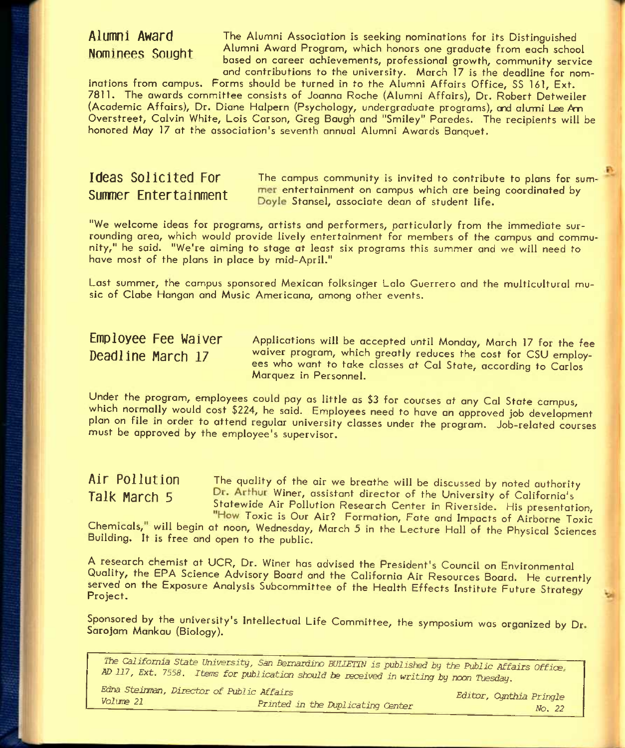**Alumni Award** The Alumni Association is seeking nominations for its Distinguished **Nominees Sought** Alumni Award Program, which honors one graduate from each school based on career achievements, professional growth, community service and contributions to the university. March 17 is the deadline for nom-

inations from campus. Forms should be turned in to the Alumni Affairs Office, SS 161, Ext. 7811. The awards committee consists of Joanna Roche (Alumni Affairs), Dr. Robert Detweiler (Academic Affairs), Dr. Diane Halpern (Psychology, undergraduate programs), end alumi Lee Am Overstreet, Calvin White, Lois Carson, Greg Bough and "Smiley" Paredes. The recipients will be honored May 17 at the association's seventh annual Alumni Awards Banquet.

**Ideas Solicited For** The campus community is invited to contribute to plans for sum-**Summer Entertainment** mer entertainment on campus which are being coordinated by **Cummer Circuit Coordinated by** Doyle Stansel, associate dean of student life.

"We welcome ideas for programs, artists and performers, particularly from the immediate surrounding area, which would provide lively entertainment for members of the campus and community," he said. "We're aiming to stage at least six programs this summer and we will need to have most of the plans in place by mid-April."

Last summer, the campus sponsored Mexican folksinger Lalo Guerrero and the multicultural music of Clabe Hangan and Music Americana, among other events.

**Employee Fee Waiver** Applications will be accepted until Monday, March 17 for the fee **Deadline March 17** waiver program, which greatly reduces the cost for CSU employees who want to take classes at Gal State, according to Carlos Morquez in Personnel.

Under the program, employees could pay as little as \$3 for courses at any Gal State campus, which normally would cost \$224, he said. Employees need to have an approved job development plan on file in order to attend regular university classes under the program. Job-related courses must be approved by the employee's supervisor.

Air Pollution The quality of the air we breathe will be discussed by noted authority Talk March 5 Dr. Arthur Winer, assistant director of the University of California's Statewide Air Pollution Research Center in Riverside. His presentation. "How Toxic is Our Air? Formation, Fate and Impacts of Airborne Toxic

Chemicals," will begin at noon, Wednesday, March 5 in the Lecture Hall of the Physical Sciences Building. It is free and open to the public.

A research chemist at UCR, Dr. Winer has advised the President's Council on Environmental Quality, the EPA Science Advisory Board and the California Air Resources Board. He currently served on the Exposure Analysis Subcommittee of the Health Effects Institute Future Strategy Project.

Sponsored by the university's Intellectual Life Committee, the symposium was organized by Dr Sarojam Mankau (Biology).

*'Hie California State University, San Bernardino BULLETIN is published by tie Public Affairs Office AD 117, Ext. 7558. Iterns for publication should be received in* writing *by* noon *Tuesday.* 

*Edna Steiuran, Director of Public Affairs Volune 21 Printed in the Duplicating Center Editor, Cynthia Pringle* 

*No. 22*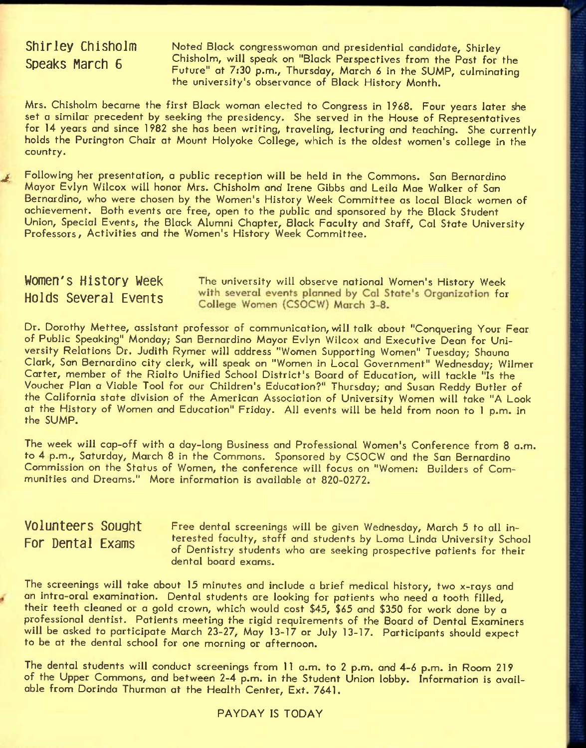### **Shirley Chisholm Speaks March 6**

Noted Black congresswomon and presidential candidate, Shirley Chisholm, will speak on "Black Perspectives from the Past for the Future" at 7:30 p.m., Thursday, March 6 in the SUMP, culminating the university's observance of Block History Month.

Mrs. Chisholm became the first Black woman elected to Congress in 1968. Four years later she set a similar precedent by seeking the presidency. She served in the House of Representatives for 14 years and since 1982 she has been writing, traveling, lecturing and teaching. She currently holds the Purington Chair at Mount Holyoke College, which is the oldest women's college in the country.

Following her presentation, a public reception will be held in the Commons. San Bernardino Mayor Evlyn Wilcox will honor Mrs. Chisholm and Irene Gibbs and Leila Mae Walker of San Bernardino, who were chosen by the Women's History Week Committee as local Black women of achievement. Both events are free, open to the public and sponsored by the Black Student Union, Special Events, the Black Alumni Chapter, Black Faculty and Staff, Cal State University Professors, Activities and the Women's History Week Committée.

**WOMEN'S History Week** The university will observe national Women's History Week Holds Several Events with several events planned by Cal State's Organization for College Women (CSOCW) March 3-8.

Dr. Dorothy Mettee, assistant professor of communication, will talk about "Conquering Your Fear of Public Speaking" Monday; San Bernardino Mayor Evlyn Wilcox and Executive Dean for University Relations Dr. Judith Rymer will address "Women Supporting Women" Tuesday; Shauna Clark, San Bernardino city clerk, will speak on "Women in Local Government" Wednesday; Wilmer Carter, member of the Riolto Unified School District's Board of Education, will tackle "Is the Voucher Plan a Viable Tool for our Children's Education?" Thursday; and Susan Reddy Butler of the California state division of the American Association of University Women will take "A Look at the History of Women and Education" Friday. All events will be held from noon to 1 p.m. in the SUMP.

The week will cop-off with a day-long Business and Professional Women's Conference from 8 a.m. to 4 p.m., Saturday, March 8 in the Commons. Sponsored by CSOCW and the San Bernardino Commission on the Status of Women, the conference will focus on "Women: Builders of Communities and Dreams." More information is available at 820-0272.

**Volunteers Sought** Free dental screenings will be given Wednesday, March *5* to all in-For Dental Exams **terested faculty, staff and students by Loma Linda University School** of Dentistry students who ore seeking prospective patients for their dental board exams.

The screenings will take about 15 minutes and include *a* brief medical history, two x-rays and an intra-oral examination. Dental students are looking for patients who need a tooth filled, their teeth cleaned or a gold crown, which would cost \$45, \$65 and \$350 for work done by a professional dentist. Patients meeting the rigid requirements of the Board of Dental Examiners will be asked to participate March 23-27, May 13-17 or July 13-17. Participants should expect to be at the dental school for one morning or afternoon.

The dental students will conduct screenings from 11 a.m. to 2 p.m. and 4-6 p.m. in Room 219 of the Upper Commons, and between 2-4 p.m. in the Student Union lobby. Information is available from Dorinda Thurman at the Health Center, Ext. 7641.

### PAYDAY IS TODAY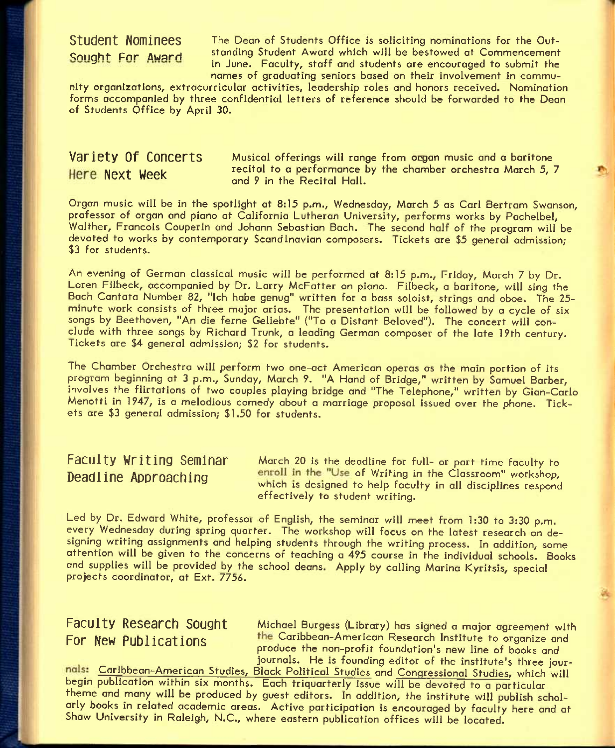Student Nominees The Dean of Students Office is soliciting nominations for the Out-Sought Far Award standing Student Award which will be bestowed at Commencement in June. Faculty, staff and students are encouraged to submit the names of graduating seniors based on their involvement in commu-

nity organizations, extracurricular activities, leadership roles and honors received. Nomination forms accompanied by three confidential letters of reference should be forwarded to the Dean of Students Office by April 30,

**Variety Of Concerts** Musical offerings will range from organ music and a baritone Here Next Week recital to a performance by the chamber orchestra March 5, 7 and *9* in the Recital Hall.

Organ music will be in the spotlight at 8:15 p.m., Wednesday, March 5 as Carl Bertram Swanson, professor of organ and piano at California Lutheran University, performs works by Pachelbel, Walther, Francois Couperin and Johann Sebastian Bach. The second half of the program will be devoted to works by contemporary Scandinavian composers. Tickets are \$5 general admission; \$3 for students.

An evening of German classical music will be performed at 8:15 p.m., Friday, March 7 by Dr. Loren Filbeck, accompanied by Dr. Larry McFatter on piano. Filbeck, a baritone, will sing the Bach Cantata Number 82, "Ich habe genug" written for a bass soloist, strings and oboe. The 25 minute work consists of three major arias. The presentation will be followed by a cycle of six songs by Beethoven, "An die ferne Geliebte" ("To a Distant Beloved"). The concert will conclude with three songs by Richard Trunk, a leading German composer of the late 19th century. Tickets are \$4 general admission; \$2 for students.

The Chamber Orchestra will perform two one-oct American operas as the main portion of its program beginning at 3 p.m., Sunday, March 9. "A Hand of Bridge," written by Samuel Barber, involves the flirtations of two couples playing bridge and "The Telephone," written by Gian-Carlo Menotti in 1947, is a melodious comedy about a marriage proposal issued over the phone. Tickets are \$3 general admission; \$1,50 for students.

Faculty Writing Seminar March 20 is the deadline for full- or part-time faculty to **Deadline Approaching** enroll in the "Use of Writing in the Classroom" workshop, **which IS designed to help faculty in all disciplines respond effectively to student writing.** 

Led by Dr. Edward White, professor of English, the seminar will meet from 1:30 to 3:30 p.m. every Wednesday during spring quarter. The workshop will focus on the latest research on designing writing assignments and helping students through the writing process. In addition, some attention will be given to the concerns of teaching a 495 course in the individual schools. Books and supplies will be provided by the school deans. Apply by calling Marina Kyritsis, special projects coordinator, at Ext. 7756.

Faculty Research Sought Michael Burgess (Library) has signed a major agreement with **For New Publications The Caribbean-American Research Institute to organize and** produce the non-profit foundation's new line of books and journals. He is founding editor of the institute's three jour-

Caribbean-American Studies, Black Political Studies and Congressional Studies, which will begin publication within six months. Each triquarterly issue will be devoted to a particular theme and many will be produced by guest editors. In addition, the institute will publish scholarly books in related academic areas. Active participation is encouraged by faculty here and at Shaw University in Raleigh, N.C., where eastern publication offices will be located.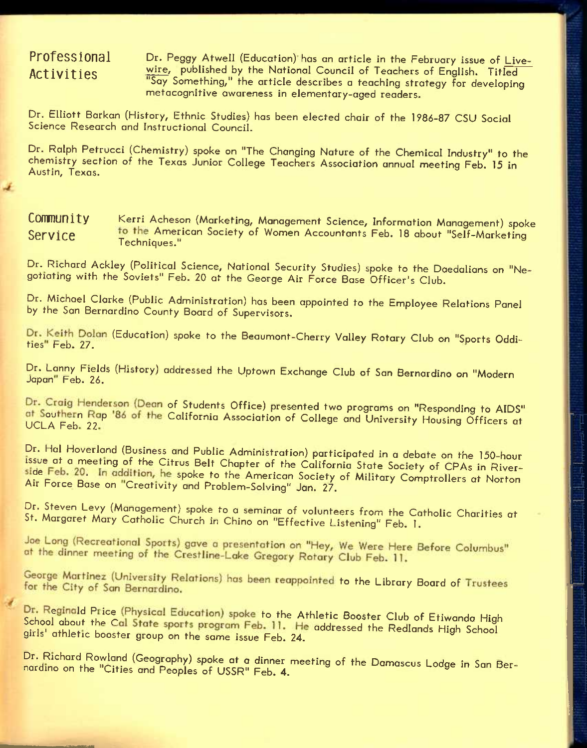### **Professional Activities**

W.

Dr. Peggy Atwell (Education) has an article in the February issue of Livewire, published by the National Council of Teachers of English. Titled "Say Something," the article describes a teaching strategy for developing metacognitive awareness in elementary-aged readers.

Dr. Elliott Barkan (History, Ethnic Studies) has been elected chair of the 1986-87 CSU Social Science Research and Instructional Council.

Dr. Ralph Petrucci (Chemistry) spoke on "The Changing Nature of the Chemical Industry" to the chemistry section of the Texas Junior College Teachers Association annual meeting Feb. 15 in Austin, Texas.

### COMMUNIty Kerri Acheson (Marketing, Management Science, Information Management) spoke Service **American Society of Women Accountants Feb. 18 about "Self-Marketing**" Techniques."

Dr. Richard Ackley (Political Science, National Security Studies) spoke to the Daedalians on "Negotiating with the Soviets" Feb. 20 at the George Air Force Base Officer's Club.

Dr. Michael Clarke (Public Administration) has been appointed to the Employee Relations Panel by the San Bernardino County Board of Supervisors.

Dr. Keith Dolan (Education) spoke to the Beaumont-Cherry Valley Rotary Club on "Sports Oddities" Feb. 27.

Dr. Lanny Fields (History) addressed the Uptown Exchange Club of San Bernardino on "Modern Japan" Feb. 26.

Dr. Craig Henderson (Dean of Students Office) presented two programs on "Responding to AIDS" at Southern Rap '86 of the California Association of College and University Housing Officers at

Dr. Hal Hoverland (Business and Public Administration) participated in a debate on the 150-hour issue at a meeting of the Citrus Belt Chapter of the California State Society of CPAs in Riverside Feb. 20. In addition, he spoke to the American Society of Military Comptrollers at Norton Air Force Base on "Creativity and Problem-Solving" Jan. 27.

Dr. Steven Levy (Management) spoke to a seminar of volunteers from the Catholic Charities at St. Margaret Mary Catholic Church in Chino on "Effective Listening" Feb. 1.

Joe Long (Recreational Sports) gave a presentation on "Hey, We Were Here Before Columbus"

at the dinner meeting of the Crestline-Lake Gregory Rotary Club Feb. 11.<br>George Martinez (University Relations) has been reappointed to the Library Board of Trustees

For the City of San Bernardino.<br>Dr. Reginald Price (Physical Education) spoke to the Athletic Booster Club of Etiwanda High<br>School about the Cal State sports program Feb. 11. He addressed the Redlands High School<br>girls' at School about the Cal State sports program Feb. 11. He addressed the Redlands High School

Dr. Richard Rowland (Geography) spoke at a dinner meeting of the Damascus Lodqe in San Ber-Dr. Richard Rowland (Geography) spoke at a dinner meeting of the Damascus Lodge<br>nardino on the "Cities and Peoples of USSR" Feb. 4.